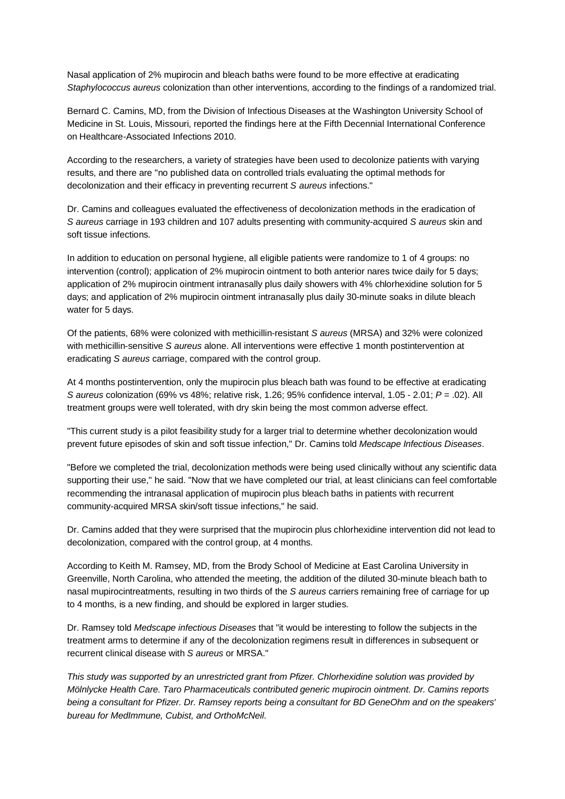Nasal application of 2% mupirocin and bleach baths were found to be more effective at eradicating *Staphylococcus aureus* colonization than other interventions, according to the findings of a randomized trial.

Bernard C. Camins, MD, from the Division of Infectious Diseases at the Washington University School of Medicine in St. Louis, Missouri, reported the findings here at the Fifth Decennial International Conference on Healthcare-Associated Infections 2010.

According to the researchers, a variety of strategies have been used to decolonize patients with varying results, and there are "no published data on controlled trials evaluating the optimal methods for decolonization and their efficacy in preventing recurrent *S aureus* infections."

Dr. Camins and colleagues evaluated the effectiveness of decolonization methods in the eradication of *S aureus* carriage in 193 children and 107 adults presenting with community-acquired *S aureus* skin and soft tissue infections.

In addition to education on personal hygiene, all eligible patients were randomize to 1 of 4 groups: no intervention (control); application of 2% mupirocin ointment to both anterior nares twice daily for 5 days; application of 2% mupirocin ointment intranasally plus daily showers with 4% chlorhexidine solution for 5 days; and application of 2% mupirocin ointment intranasally plus daily 30-minute soaks in dilute bleach water for 5 days.

Of the patients, 68% were colonized with methicillin-resistant *S aureus* (MRSA) and 32% were colonized with methicillin-sensitive *S aureus* alone. All interventions were effective 1 month postintervention at eradicating *S aureus* carriage, compared with the control group.

At 4 months postintervention, only the mupirocin plus bleach bath was found to be effective at eradicating *S aureus* colonization (69% vs 48%; relative risk, 1.26; 95% confidence interval, 1.05 - 2.01; *P* = .02). All treatment groups were well tolerated, with dry skin being the most common adverse effect.

"This current study is a pilot feasibility study for a larger trial to determine whether decolonization would prevent future episodes of skin and soft tissue infection," Dr. Camins told *Medscape Infectious Diseases*.

"Before we completed the trial, decolonization methods were being used clinically without any scientific data supporting their use," he said. "Now that we have completed our trial, at least clinicians can feel comfortable recommending the intranasal application of mupirocin plus bleach baths in patients with recurrent community-acquired MRSA skin/soft tissue infections," he said.

Dr. Camins added that they were surprised that the mupirocin plus chlorhexidine intervention did not lead to decolonization, compared with the control group, at 4 months.

According to Keith M. Ramsey, MD, from the Brody School of Medicine at East Carolina University in Greenville, North Carolina, who attended the meeting, the addition of the diluted 30-minute bleach bath to nasal mupirocintreatments, resulting in two thirds of the *S aureus* carriers remaining free of carriage for up to 4 months, is a new finding, and should be explored in larger studies.

Dr. Ramsey told *Medscape infectious Diseases* that "it would be interesting to follow the subjects in the treatment arms to determine if any of the decolonization regimens result in differences in subsequent or recurrent clinical disease with *S aureus* or MRSA."

*This study was supported by an unrestricted grant from Pfizer. Chlorhexidine solution was provided by Mölnlycke Health Care. Taro Pharmaceuticals contributed generic mupirocin ointment. Dr. Camins reports being a consultant for Pfizer. Dr. Ramsey reports being a consultant for BD GeneOhm and on the speakers' bureau for MedImmune, Cubist, and OrthoMcNeil.*